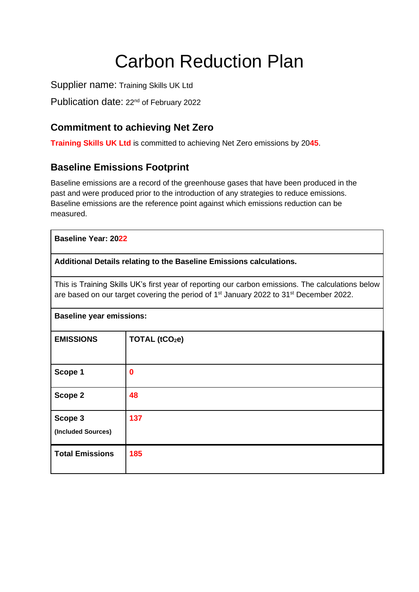# Carbon Reduction Plan

Supplier name: Training Skills UK Ltd

Publication date: 22<sup>nd</sup> of February 2022

# **Commitment to achieving Net Zero**

**Training Skills UK Ltd** is committed to achieving Net Zero emissions by 20**45**.

## **Baseline Emissions Footprint**

Baseline emissions are a record of the greenhouse gases that have been produced in the past and were produced prior to the introduction of any strategies to reduce emissions. Baseline emissions are the reference point against which emissions reduction can be measured.

| <b>Baseline Year: 2022</b>                                                                                                                                                                                          |                            |  |
|---------------------------------------------------------------------------------------------------------------------------------------------------------------------------------------------------------------------|----------------------------|--|
| Additional Details relating to the Baseline Emissions calculations.                                                                                                                                                 |                            |  |
| This is Training Skills UK's first year of reporting our carbon emissions. The calculations below<br>are based on our target covering the period of 1 <sup>st</sup> January 2022 to 31 <sup>st</sup> December 2022. |                            |  |
| <b>Baseline year emissions:</b>                                                                                                                                                                                     |                            |  |
| <b>EMISSIONS</b>                                                                                                                                                                                                    | TOTAL (tCO <sub>2</sub> e) |  |
| Scope 1                                                                                                                                                                                                             | $\bf{0}$                   |  |
| Scope 2                                                                                                                                                                                                             | 48                         |  |
| Scope 3<br>(Included Sources)                                                                                                                                                                                       | 137                        |  |
| <b>Total Emissions</b>                                                                                                                                                                                              | 185                        |  |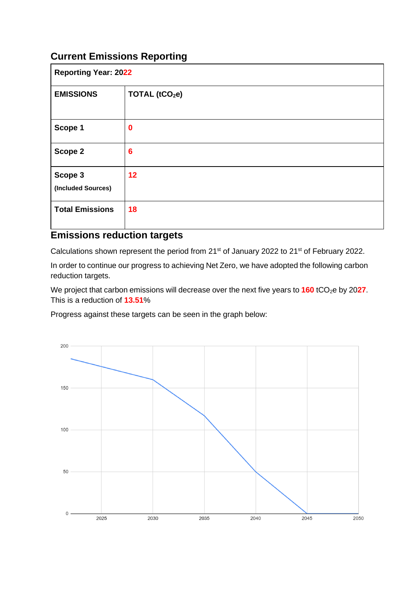# **Current Emissions Reporting**

| <b>Reporting Year: 2022</b>   |                            |  |
|-------------------------------|----------------------------|--|
| <b>EMISSIONS</b>              | TOTAL (tCO <sub>2</sub> e) |  |
| Scope 1                       | $\mathbf 0$                |  |
| Scope 2                       | $6\phantom{1}6$            |  |
| Scope 3<br>(Included Sources) | 12                         |  |
| <b>Total Emissions</b>        | 18                         |  |

### **Emissions reduction targets**

Calculations shown represent the period from 21<sup>st</sup> of January 2022 to 21<sup>st</sup> of February 2022.

In order to continue our progress to achieving Net Zero, we have adopted the following carbon reduction targets.

We project that carbon emissions will decrease over the next five years to **160** tCO<sub>2</sub>e by 2027. This is a reduction of **13.51**%

Progress against these targets can be seen in the graph below: